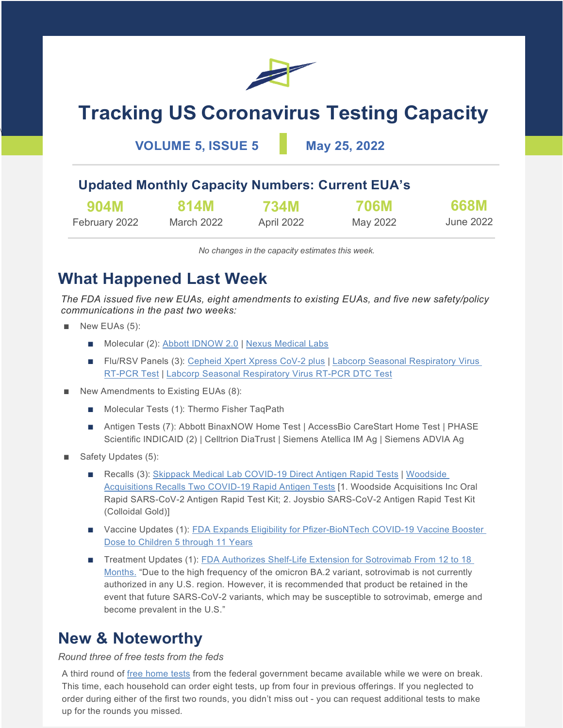

# **Tracking US Coronavirus Testing Capacity**

**VOLUME 5, ISSUE 5 May 25, 2022**

### **Updated Monthly Capacity Numbers: Current EUA's**

| <b>904M</b>   | 814M       | 734M       | <b>706M</b> | 668M      |
|---------------|------------|------------|-------------|-----------|
| February 2022 | March 2022 | April 2022 | May 2022    | June 2022 |

*No changes in the capacity estimates this week.*

# **What Happened Last Week**

*The FDA issued five new EUAs, eight amendments to existing EUAs, and five new safety/policy communications in the past two weeks:*

■ New EUAs (5):

\

- Molecular (2): Abbott IDNOW 2.0 | Nexus Medical Labs
- Flu/RSV Panels (3): Cepheid Xpert Xpress CoV-2 plus | Labcorp Seasonal Respiratory Virus RT-PCR Test | Labcorp Seasonal Respiratory Virus RT-PCR DTC Test
- New Amendments to Existing EUAs (8):
	- Molecular Tests (1): Thermo Fisher TaqPath
	- Antigen Tests (7): Abbott BinaxNOW Home Test | AccessBio CareStart Home Test | PHASE Scientific INDICAID (2) | Celltrion DiaTrust | Siemens Atellica IM Ag | Siemens ADVIA Ag
- Safety Updates (5):
	- Recalls (3): Skippack Medical Lab COVID-19 Direct Antigen Rapid Tests | Woodside Acquisitions Recalls Two COVID-19 Rapid Antigen Tests [1. Woodside Acquisitions Inc Oral Rapid SARS-CoV-2 Antigen Rapid Test Kit; 2. Joysbio SARS-CoV-2 Antigen Rapid Test Kit (Colloidal Gold)]
	- Vaccine Updates (1): FDA Expands Eligibility for Pfizer-BioNTech COVID-19 Vaccine Booster Dose to Children 5 through 11 Years
	- Treatment Updates (1): FDA Authorizes Shelf-Life Extension for Sotrovimab From 12 to 18 Months. "Due to the high frequency of the omicron BA.2 variant, sotrovimab is not currently authorized in any U.S. region. However, it is recommended that product be retained in the event that future SARS-CoV-2 variants, which may be susceptible to sotrovimab, emerge and become prevalent in the U.S."

### **New & Noteworthy**

### *Round three of free tests from the feds*

A third round of free home tests from the federal government became available while we were on break. This time, each household can order eight tests, up from four in previous offerings. If you neglected to order during either of the first two rounds, you didn't miss out - you can request additional tests to make up for the rounds you missed.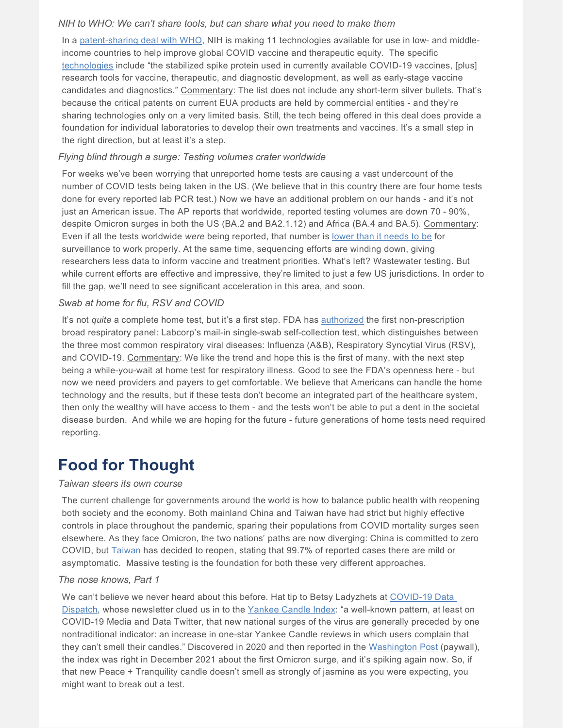### *NIH to WHO: We can't share tools, but can share what you need to make them*

In a [patent-sharing deal with WHO,](https://www.who.int/news/item/12-05-2022-who-and-mpp-announce-agreement-with-nih-for-covid-19-health-technologies) NIH is making 11 technologies available for use in low- and middleincome countries to help improve global COVID vaccine and therapeutic equity. The specific [technologies](https://medicinespatentpool.org/progress-achievements/licences) include "the stabilized spike protein used in currently available COVID-19 vaccines, [plus] research tools for vaccine, therapeutic, and diagnostic development, as well as early-stage vaccine candidates and diagnostics." Commentary: The list does not include any short-term silver bullets. That's because the critical patents on current EUA products are held by commercial entities - and they're sharing technologies only on a very limited basis. Still, the tech being offered in this deal does provide a foundation for individual laboratories to develop their own treatments and vaccines. It's a small step in the right direction, but at least it's a step.

### *Flying blind through a surge: Testing volumes crater worldwide*

For weeks we've been worrying that unreported home tests are causing a vast undercount of the number of COVID tests being taken in the US. (We believe that in this country there are four home tests done for every reported lab PCR test.) Now we have an additional problem on our hands - and it's not just an American issue. The AP reports that worldwide, reported testing volumes are down 70 - 90%, despite Omicron surges in both the US (BA.2 and BA2.1.12) and Africa (BA.4 and BA.5). Commentary: Even if all the tests worldwide *were* being reported, that number is [lower than it needs to be](https://apnews.com/article/covid-us-testing-decline-14bf5b0901260b063e4fa444633f4d31) for surveillance to work properly. At the same time, sequencing efforts are winding down, giving researchers less data to inform vaccine and treatment priorities. What's left? Wastewater testing. But while current efforts are effective and impressive, they're limited to just a few US jurisdictions. In order to fill the gap, we'll need to see significant acceleration in this area, and soon.

### *Swab at home for flu, RSV and COVID*

It's not *quite* a complete home test, but it's a first step. FDA has [authorized](https://www.fda.gov/news-events/press-announcements/coronavirus-covid-19-update-fda-authorizes-first-covid-19-test-available-without-prescription-also) the first non-prescription broad respiratory panel: Labcorp's mail-in single-swab self-collection test, which distinguishes between the three most common respiratory viral diseases: Influenza (A&B), Respiratory Syncytial Virus (RSV), and COVID-19. Commentary: We like the trend and hope this is the first of many, with the next step being a while-you-wait at home test for respiratory illness. Good to see the FDA's openness here - but now we need providers and payers to get comfortable. We believe that Americans can handle the home technology and the results, but if these tests don't become an integrated part of the healthcare system, then only the wealthy will have access to them - and the tests won't be able to put a dent in the societal disease burden. And while we are hoping for the future - future generations of home tests need required reporting.

## **Food for Thought**

### *Taiwan steers its own course*

The current challenge for governments around the world is how to balance public health with reopening both society and the economy. Both mainland China and Taiwan have had strict but highly effective controls in place throughout the pandemic, sparing their populations from COVID mortality surges seen elsewhere. As they face Omicron, the two nations' paths are now diverging: China is committed to zero COVID, but [Taiwan](https://www.reuters.com/world/asia-pacific/taiwan-says-new-covid-cases-wont-affect-re-opening-plans-2022-04-03/) has decided to reopen, stating that 99.7% of reported cases there are mild or asymptomatic. Massive testing is the foundation for both these very different approaches.

### *The nose knows, Part 1*

We can't believe we never heard about this before. Hat tip to Betsy Ladyzhets at COVID-19 Data [Dispatch,](https://coviddatadispatch.com/) whose newsletter clued us in to the [Yankee Candle Index:](https://twitter.com/drewtoothpaste/status/1527094311988482053) "a well-known pattern, at least on COVID-19 Media and Data Twitter, that new national surges of the virus are generally preceded by one nontraditional indicator: an increase in one-star Yankee Candle reviews in which users complain that they can't smell their candles." Discovered in 2020 and then reported in the [Washington Post](https://www.washingtonpost.com/business/2020/12/01/covid-scented-candle-reviews/) (paywall), the index was right in December 2021 about the first Omicron surge, and it's spiking again now. So, if that new Peace + Tranquility candle doesn't smell as strongly of jasmine as you were expecting, you might want to break out a test.